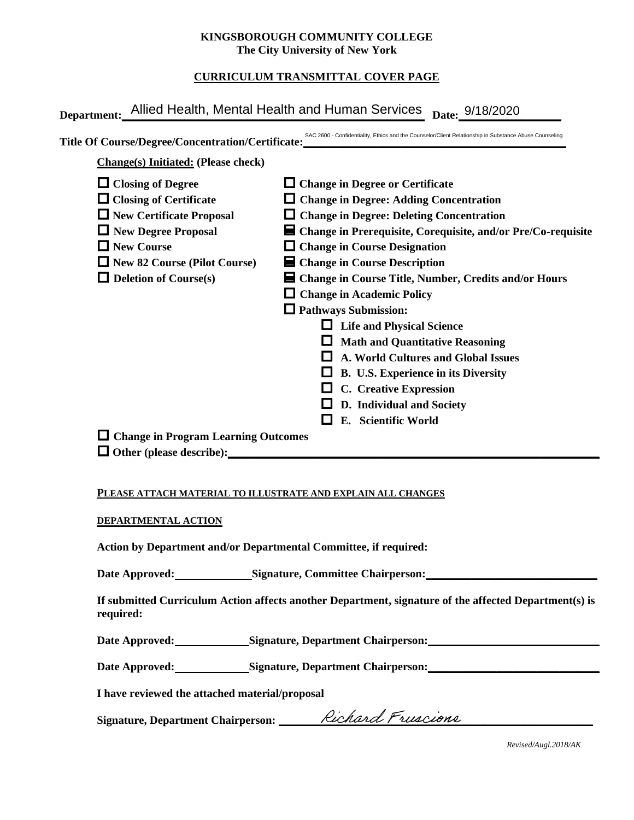#### **KINGSBOROUGH COMMUNITY COLLEGE The City University of New York**

# **CURRICULUM TRANSMITTAL COVER PAGE**

| <b>Change(s)</b> Initiated: (Please check) |                                                                |  |  |  |
|--------------------------------------------|----------------------------------------------------------------|--|--|--|
|                                            |                                                                |  |  |  |
| $\Box$ Closing of Degree                   | $\Box$ Change in Degree or Certificate                         |  |  |  |
| $\Box$ Closing of Certificate              | $\Box$ Change in Degree: Adding Concentration                  |  |  |  |
| $\Box$ New Certificate Proposal            | $\Box$ Change in Degree: Deleting Concentration                |  |  |  |
| $\Box$ New Degree Proposal                 | ■ Change in Prerequisite, Corequisite, and/or Pre/Co-requisite |  |  |  |
| $\Box$ New Course                          | $\Box$ Change in Course Designation                            |  |  |  |
| $\Box$ New 82 Course (Pilot Course)        | $\blacksquare$ Change in Course Description                    |  |  |  |
| $\Box$ Deletion of Course(s)               | ■ Change in Course Title, Number, Credits and/or Hours         |  |  |  |
|                                            | $\Box$ Change in Academic Policy                               |  |  |  |
|                                            | $\Box$ Pathways Submission:                                    |  |  |  |
|                                            | $\Box$ Life and Physical Science                               |  |  |  |
|                                            | $\Box$ Math and Quantitative Reasoning                         |  |  |  |
|                                            | A. World Cultures and Global Issues                            |  |  |  |
|                                            | B. U.S. Experience in its Diversity                            |  |  |  |
|                                            | $\Box$ C. Creative Expression                                  |  |  |  |
|                                            | D. Individual and Society                                      |  |  |  |
|                                            | E. Scientific World                                            |  |  |  |
| $\Box$ Change in Program Learning Outcomes |                                                                |  |  |  |

### **PLEASE ATTACH MATERIAL TO ILLUSTRATE AND EXPLAIN ALL CHANGES**

#### **DEPARTMENTAL ACTION**

**Action by Department and/or Departmental Committee, if required:**

Date Approved: Signature, Committee Chairperson:

**If submitted Curriculum Action affects another Department, signature of the affected Department(s) is required:**

Date Approved: Signature, Department Chairperson:

Date Approved: Signature, Department Chairperson: Network and Approved: Network and Separature, Department Chairperson:

**I have reviewed the attached material/proposal**

Signature, Department Chairperson: \_\_\_\_\_\_\_*Rechard Freedone* 

*Revised/Augl.2018/AK*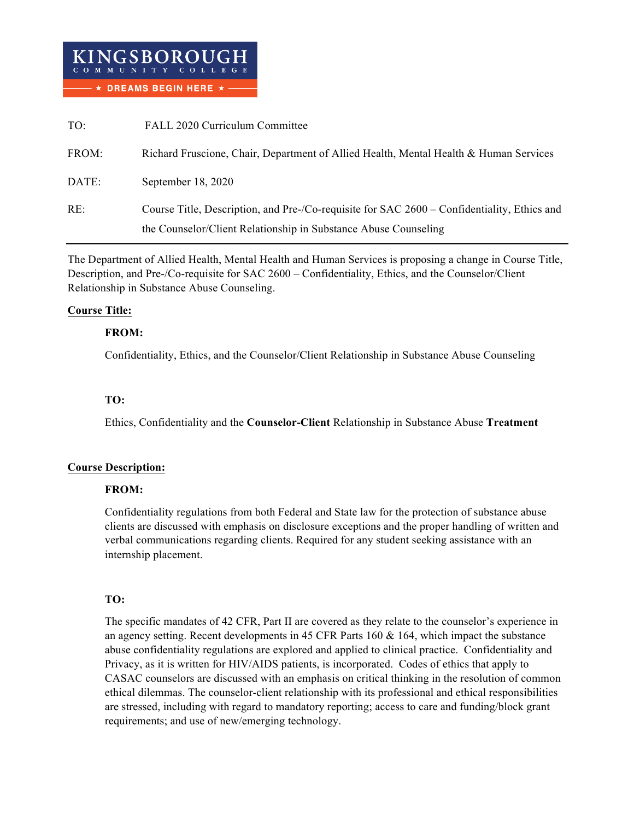| KINGSBOROUGH<br>COMMUNITY COLLEGE |  |                                       |  |
|-----------------------------------|--|---------------------------------------|--|
|                                   |  | $ \star$ DREAMS BEGIN HERE $\star$ -- |  |

| TO:   | FALL 2020 Curriculum Committee                                                                                                                                 |
|-------|----------------------------------------------------------------------------------------------------------------------------------------------------------------|
| FROM: | Richard Fruscione, Chair, Department of Allied Health, Mental Health & Human Services                                                                          |
| DATE: | September 18, 2020                                                                                                                                             |
| RE:   | Course Title, Description, and Pre-/Co-requisite for SAC 2600 – Confidentiality, Ethics and<br>the Counselor/Client Relationship in Substance Abuse Counseling |

The Department of Allied Health, Mental Health and Human Services is proposing a change in Course Title, Description, and Pre-/Co-requisite for SAC 2600 – Confidentiality, Ethics, and the Counselor/Client Relationship in Substance Abuse Counseling.

#### **Course Title:**

#### **FROM:**

Confidentiality, Ethics, and the Counselor/Client Relationship in Substance Abuse Counseling

#### **TO:**

Ethics, Confidentiality and the **Counselor-Client** Relationship in Substance Abuse **Treatment**

### **Course Description:**

#### **FROM:**

Confidentiality regulations from both Federal and State law for the protection of substance abuse clients are discussed with emphasis on disclosure exceptions and the proper handling of written and verbal communications regarding clients. Required for any student seeking assistance with an internship placement.

### **TO:**

The specific mandates of 42 CFR, Part II are covered as they relate to the counselor's experience in an agency setting. Recent developments in 45 CFR Parts 160 & 164, which impact the substance abuse confidentiality regulations are explored and applied to clinical practice. Confidentiality and Privacy, as it is written for HIV/AIDS patients, is incorporated. Codes of ethics that apply to CASAC counselors are discussed with an emphasis on critical thinking in the resolution of common ethical dilemmas. The counselor-client relationship with its professional and ethical responsibilities are stressed, including with regard to mandatory reporting; access to care and funding/block grant requirements; and use of new/emerging technology.